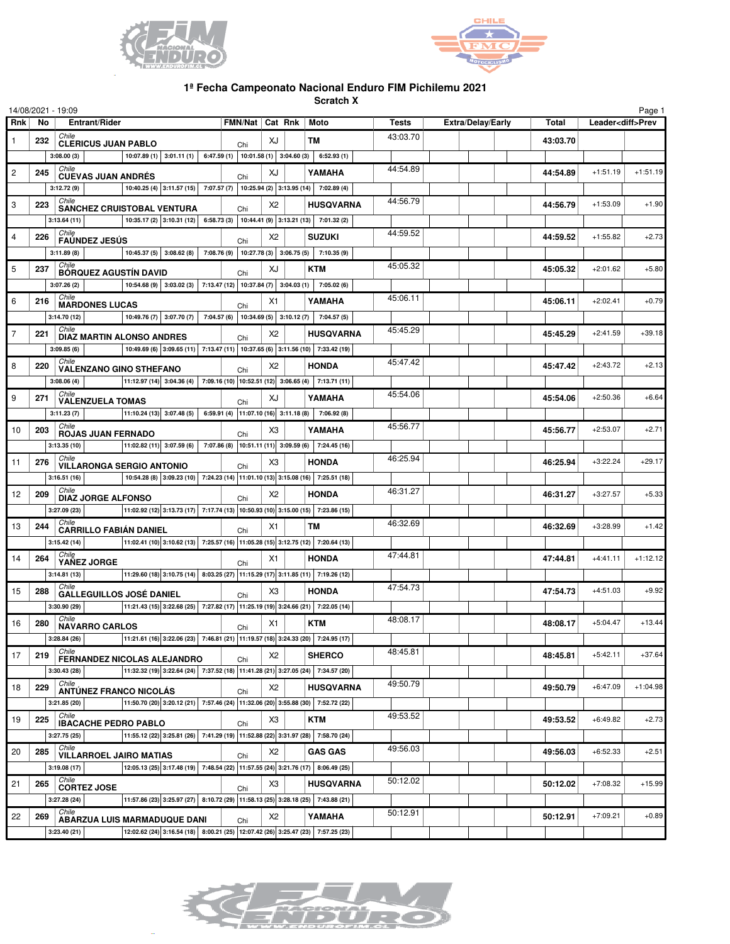



## **1ª Fecha Campeonato Nacional Enduro FIM Pichilemu 2021**

**Scratch X**

|                |              | 14/08/2021 - 19:09                                                                                                     |                                                                                                                                         |                        |                |                  |              |                          |          |                          | Page 1     |
|----------------|--------------|------------------------------------------------------------------------------------------------------------------------|-----------------------------------------------------------------------------------------------------------------------------------------|------------------------|----------------|------------------|--------------|--------------------------|----------|--------------------------|------------|
| Rnk            | No           | Entrant/Rider                                                                                                          |                                                                                                                                         | FMN/Nat Cat Rnk   Moto |                |                  | <b>Tests</b> | <b>Extra/Delay/Early</b> | Total    | Leader <diff>Prev</diff> |            |
|                | 232          | Chile                                                                                                                  | <b>CLERICUS JUAN PABLO</b>                                                                                                              |                        |                | TM               | 43:03.70     |                          | 43:03.70 |                          |            |
|                |              | 3:08.00(3)                                                                                                             | 10:07.89 (1) 3:01.11 (1) 6:47.59 (1) 10:01.58 (1) 3:04.60 (3) 6:52.93 (1)                                                               | Chi                    |                |                  |              |                          |          |                          |            |
| $\overline{c}$ | 245          | Chile<br><b>CUEVAS JUAN ANDRÉS</b>                                                                                     |                                                                                                                                         | Chi                    | XJ             | YAMAHA           | 44:54.89     |                          | 44:54.89 | $+1:51.19$               | $+1:51.19$ |
|                |              | 3:12.72(9)                                                                                                             | 10:40.25 (4) $3:11.57$ (15) 7:07.57 (7) 10:25.94 (2) 3:13.95 (14) 7:02.89 (4)                                                           |                        |                |                  |              |                          |          |                          |            |
| 3              | 223          | Chile<br><b>SANCHEZ CRUISTOBAL VENTURA</b>                                                                             |                                                                                                                                         |                        | X2             | <b>HUSQVARNA</b> | 44:56.79     |                          | 44:56.79 | $+1:53.09$               | $+1.90$    |
|                |              | 3:13.64(11)                                                                                                            | 10:35.17 (2) 3:10.31 (12) 6:58.73 (3) 10:44.41 (9) 3:13.21 (13) 7:01.32 (2)                                                             | Chi                    |                |                  |              |                          |          |                          |            |
| $\overline{4}$ | 226          | Chile                                                                                                                  |                                                                                                                                         |                        | X2             | <b>SUZUKI</b>    | 44:59.52     |                          | 44:59.52 | $+1:55.82$               | $+2.73$    |
|                |              | <b>FAÚNDEZ JESÚS</b><br>3:11.89(8)                                                                                     | 10:45.37 (5) 3:08.62 (8) 7:08.76 (9) 10:27.78 (3) 3:06.75 (5) 7:10.35 (9)                                                               | Chi                    |                |                  |              |                          |          |                          |            |
| 5              | 237          | Chile                                                                                                                  |                                                                                                                                         |                        | XJ             | <b>KTM</b>       | 45:05.32     |                          | 45:05.32 | $+2:01.62$               | $+5.80$    |
|                |              | <b>BÓRQUEZ AGUSTÍN DAVID</b><br>3:07.26(2)                                                                             | 10:54.68 (9) 3:03.02 (3) 7:13.47 (12) 10:37.84 (7) 3:04.03 (1) 7:05.02 (6)                                                              | Chi                    |                |                  |              |                          |          |                          |            |
|                |              | Chile                                                                                                                  |                                                                                                                                         |                        |                |                  | 45:06.11     |                          |          | $+2:02.41$               | $+0.79$    |
| 6              | 216          | <b>MARDONES LUCAS</b>                                                                                                  |                                                                                                                                         | Chi                    | X1             | YAMAHA           |              |                          | 45:06.11 |                          |            |
|                |              | 3:14.70(12)<br>Chile                                                                                                   | 10:49.76 (7) 3:07.70 (7) 7:04.57 (6) 10:34.69 (5) 3:10.12 (7) 7:04.57 (5)                                                               |                        |                |                  | 45:45.29     |                          |          |                          |            |
| $\overline{7}$ | 221          | <b>DIAZ MARTIN ALONSO ANDRES</b>                                                                                       |                                                                                                                                         | Chi                    | X2             | <b>HUSQVARNA</b> |              |                          | 45:45.29 | $+2:41.59$               | $+39.18$   |
|                |              | 3:09.85(6)<br>Chile                                                                                                    | 10:49.69 (6) 3:09.65 (11) 7:13.47 (11) 10:37.65 (6) 3:11.56 (10) 7:33.42 (19)                                                           |                        |                |                  |              |                          |          |                          |            |
| 8              | 220          | <b>VALENZANO GINO STHEFANO</b>                                                                                         |                                                                                                                                         | Chi                    | X2             | <b>HONDA</b>     | 45:47.42     |                          | 45:47.42 | $+2:43.72$               | $+2.13$    |
|                |              | 3:08.06(4)                                                                                                             | $\vert$ 11:12.97 (14) $\vert$ 3:04.36 (4) $\vert$ 7:09.16 (10) $\vert$ 10:52.51 (12) 3:06.65 (4) $\vert$ 7:13.71 (11)                   |                        |                |                  |              |                          |          |                          |            |
| 9              | 271          | Chile<br><b>VALENZUELA TOMAS</b>                                                                                       |                                                                                                                                         | Chi                    | XJ             | YAMAHA           | 45:54.06     |                          | 45:54.06 | $+2:50.36$               | $+6.64$    |
|                |              | 3:11.23(7)                                                                                                             | $ 11:10.24(13) 3:07.48(5) 6:59.91(4) 11:07.10(16) 3:11.18(8) 7:06.92(8) $                                                               |                        |                |                  |              |                          |          |                          |            |
| 10             | 203          | Chile<br>ROJAS JUAN FERNADO                                                                                            |                                                                                                                                         | Chi                    | X3             | YAMAHA           | 45:56.77     |                          | 45:56.77 | $+2:53.07$               | $+2.71$    |
|                |              | 3:13.35(10)                                                                                                            | $\vert$ 11:02.82 (11) 3:07.59 (6) 7:07.86 (8) 10:51.11 (11) 3:09.59 (6) 7:24.45 (16)                                                    |                        |                |                  |              |                          |          |                          |            |
| 11             | 276          | Chile<br><b>VILLARONGA SERGIO ANTONIO</b>                                                                              |                                                                                                                                         | Chi                    | X <sub>3</sub> | <b>HONDA</b>     | 46:25.94     |                          | 46:25.94 | $+3:22.24$               | $+29.17$   |
|                |              | 3:16.51(16)                                                                                                            | 10:54.28 (8) 3:09.23 (10) 7:24.23 (14) 11:01.10 (13) 3:15.08 (16) 7:25.51 (18)                                                          |                        |                |                  |              |                          |          |                          |            |
| 12             | 209          | Chile<br><b>DIAZ JORGE ALFONSO</b>                                                                                     |                                                                                                                                         | Chi                    | X2             | <b>HONDA</b>     | 46:31.27     |                          | 46:31.27 | $+3:27.57$               | $+5.33$    |
|                |              | 3:27.09(23)                                                                                                            | $ 11.02.92(12) 3.13.73(17) 7.17.74(13) 10.50.93(10) 3.15.00(15) 7.23.86(15) $                                                           |                        |                |                  |              |                          |          |                          |            |
| 13             | 244          | Chile<br><b>CARRILLO FABIÁN DANIEL</b>                                                                                 |                                                                                                                                         |                        | X1             | тм               | 46:32.69     |                          | 46:32.69 | $+3:28.99$               | $+1.42$    |
|                |              | 3:15.42(14)                                                                                                            | $ 11.02.41(10) 3.10.62(13) 7.25.57(16) 11.05.28(15) 3.12.75(12) 7.20.64(13) $                                                           | Chi                    |                |                  |              |                          |          |                          |            |
| 14             | Chile<br>264 |                                                                                                                        |                                                                                                                                         | Chi                    | X1             | <b>HONDA</b>     | 47:44.81     |                          | 47:44.81 | $+4:41.11$               | $+1:12.12$ |
|                |              | YAÑEZ JORGE<br>$\boxed{11:29.60(18)\,3:10.75(14)\,8:03.25(27)\,11:15.29(17)\,3:11.85(11)\,7:19.26(12)}$<br>3:14.81(13) |                                                                                                                                         |                        |                |                  |              |                          |          |                          |            |
| 15             | 288          | Chile                                                                                                                  |                                                                                                                                         |                        | X <sub>3</sub> | <b>HONDA</b>     | 47:54.73     |                          | 47:54.73 | $+4:51.03$               | $+9.92$    |
|                |              | <b>GALLEGUILLOS JOSÉ DANIEL</b><br>3:30.90 (29)                                                                        | $ 11:21.43(15) 3:22.68(25) 7:27.82(17) 11:25.19(19) 3:24.66(21) 7:22.05(14)$                                                            | Chi                    |                |                  |              |                          |          |                          |            |
|                |              | Chile                                                                                                                  |                                                                                                                                         |                        |                |                  | 48:08.17     |                          |          |                          |            |
| 16             | 280          | <b>NAVARRO CARLOS</b>                                                                                                  |                                                                                                                                         | Chi                    | X1             | KTM              |              |                          | 48:08.17 | $+5:04.47$               | $+13.44$   |
|                |              | 3:28.84(26)<br>Chile                                                                                                   | $\boxed{ 11:21.61 \ (16) 3:22.06 \ (23) 7:46.81 \ (21) 11:19.57 \ (18) 3:24.33 \ (20) 7:24.95 \ (17)  \ \ }$                            |                        |                |                  | 48:45.81     |                          |          |                          |            |
| 17             | 219          | FERNANDEZ NICOLAS ALEJANDRO                                                                                            |                                                                                                                                         | Chi                    | X2             | <b>SHERCO</b>    |              |                          | 48:45.81 | $+5:42.11$               | $+37.64$   |
|                |              | 3:30.43(28)                                                                                                            | $\vert$ 11:32.32 (19) $\vert$ 3:22.64 (24) $\vert$ 7:37.52 (18) $\vert$ 11:41.28 (21) $\vert$ 3:27.05 (24) $\vert$ 7:34.57 (20) $\vert$ |                        |                |                  |              |                          |          |                          |            |
| 18             | 229          | Chile<br><b>ANTÚNEZ FRANCO NICOLÁS</b>                                                                                 |                                                                                                                                         | Chi                    | X <sub>2</sub> | <b>HUSQVARNA</b> | 49:50.79     |                          | 49:50.79 | $+6:47.09$               | $+1:04.98$ |
|                |              | 3:21.85(20)                                                                                                            | 11:50.70 (20) 3:20.12 (21) 7:57.46 (24) 11:32.06 (20) 3:55.88 (30) 7:52.72 (22)                                                         |                        |                |                  |              |                          |          |                          |            |
| 19             | 225          | Chile<br><b>IBACACHE PEDRO PABLO</b>                                                                                   |                                                                                                                                         | Chi                    | X <sub>3</sub> | <b>KTM</b>       | 49:53.52     |                          | 49:53.52 | $+6:49.82$               | $+2.73$    |
|                |              | 3:27.75(25)                                                                                                            | 11:55.12 (22) 3:25.81 (26) 7:41.29 (19) 11:52.88 (22) 3:31.97 (28) 7:58.70 (24)                                                         |                        |                |                  |              |                          |          |                          |            |
| 20             | 285          | Chile<br><b>VILLARROEL JAIRO MATIAS</b>                                                                                |                                                                                                                                         | Chi                    | X2             | <b>GAS GAS</b>   | 49:56.03     |                          | 49:56.03 | $+6:52.33$               | $+2.51$    |
|                |              | 3:19.08(17)                                                                                                            | 12:05.13 (25) 3:17.48 (19) 7:48.54 (22) 11:57.55 (24) 3:21.76 (17) 8:06.49 (25)                                                         |                        |                |                  |              |                          |          |                          |            |
| 21             | 265          | Chile<br><b>CORTEZ JOSE</b>                                                                                            |                                                                                                                                         |                        | X <sub>3</sub> | <b>HUSQVARNA</b> | 50:12.02     |                          | 50:12.02 | $+7:08.32$               | $+15.99$   |
|                |              | 3:27.28(24)                                                                                                            | 11:57.86 (23) 3:25.97 (27) 8:10.72 (29) 11:58.13 (25) 3:28.18 (25) 7:43.88 (21)                                                         | Chi                    |                |                  |              |                          |          |                          |            |
| 22             | 269          | Chile                                                                                                                  |                                                                                                                                         |                        | X <sub>2</sub> | YAMAHA           | 50:12.91     |                          | 50:12.91 | $+7:09.21$               | $+0.89$    |
|                |              | ABARZUA LUIS MARMADUQUE DANI<br>3:23.40(21)                                                                            | 12:02.62 (24) 3:16.54 (18) 8:00.21 (25) 12:07.42 (26) 3:25.47 (23) 7:57.25 (23)                                                         | Chi                    |                |                  |              |                          |          |                          |            |
|                |              |                                                                                                                        |                                                                                                                                         |                        |                |                  |              |                          |          |                          |            |